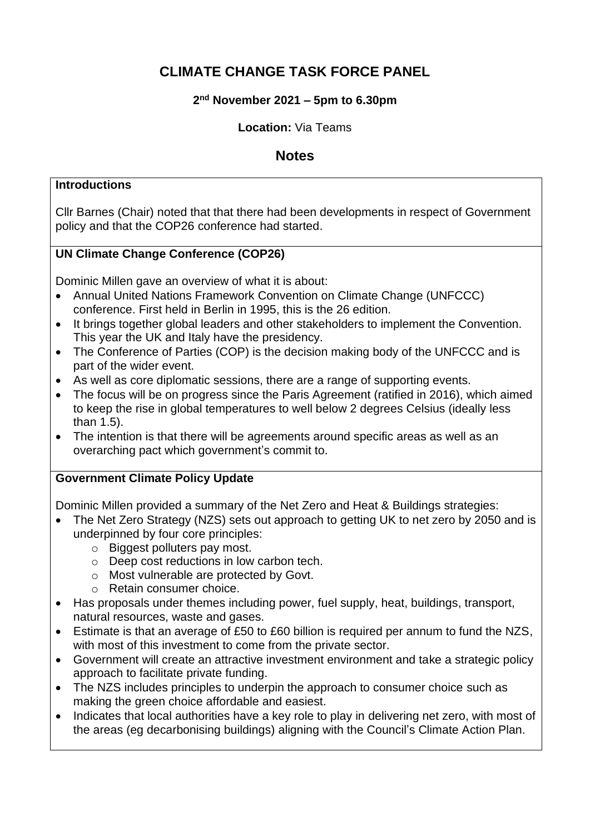# **CLIMATE CHANGE TASK FORCE PANEL**

# **2 nd November 2021 – 5pm to 6.30pm**

#### **Location:** Via Teams

# **Notes**

#### **Introductions**

Cllr Barnes (Chair) noted that that there had been developments in respect of Government policy and that the COP26 conference had started.

# **UN Climate Change Conference (COP26)**

Dominic Millen gave an overview of what it is about:

- Annual United Nations Framework Convention on Climate Change (UNFCCC) conference. First held in Berlin in 1995, this is the 26 edition.
- It brings together global leaders and other stakeholders to implement the Convention. This year the UK and Italy have the presidency.
- The Conference of Parties (COP) is the decision making body of the UNFCCC and is part of the wider event.
- As well as core diplomatic sessions, there are a range of supporting events.
- The focus will be on progress since the Paris Agreement (ratified in 2016), which aimed to keep the rise in global temperatures to well below 2 degrees Celsius (ideally less than 1.5).
- The intention is that there will be agreements around specific areas as well as an overarching pact which government's commit to.

## **Government Climate Policy Update**

Dominic Millen provided a summary of the Net Zero and Heat & Buildings strategies:

- The Net Zero Strategy (NZS) sets out approach to getting UK to net zero by 2050 and is underpinned by four core principles:
	- o Biggest polluters pay most.
	- o Deep cost reductions in low carbon tech.
	- o Most vulnerable are protected by Govt.
	- o Retain consumer choice.
- Has proposals under themes including power, fuel supply, heat, buildings, transport, natural resources, waste and gases.
- Estimate is that an average of £50 to £60 billion is required per annum to fund the NZS, with most of this investment to come from the private sector.
- Government will create an attractive investment environment and take a strategic policy approach to facilitate private funding.
- The NZS includes principles to underpin the approach to consumer choice such as making the green choice affordable and easiest.
- Indicates that local authorities have a key role to play in delivering net zero, with most of the areas (eg decarbonising buildings) aligning with the Council's Climate Action Plan.